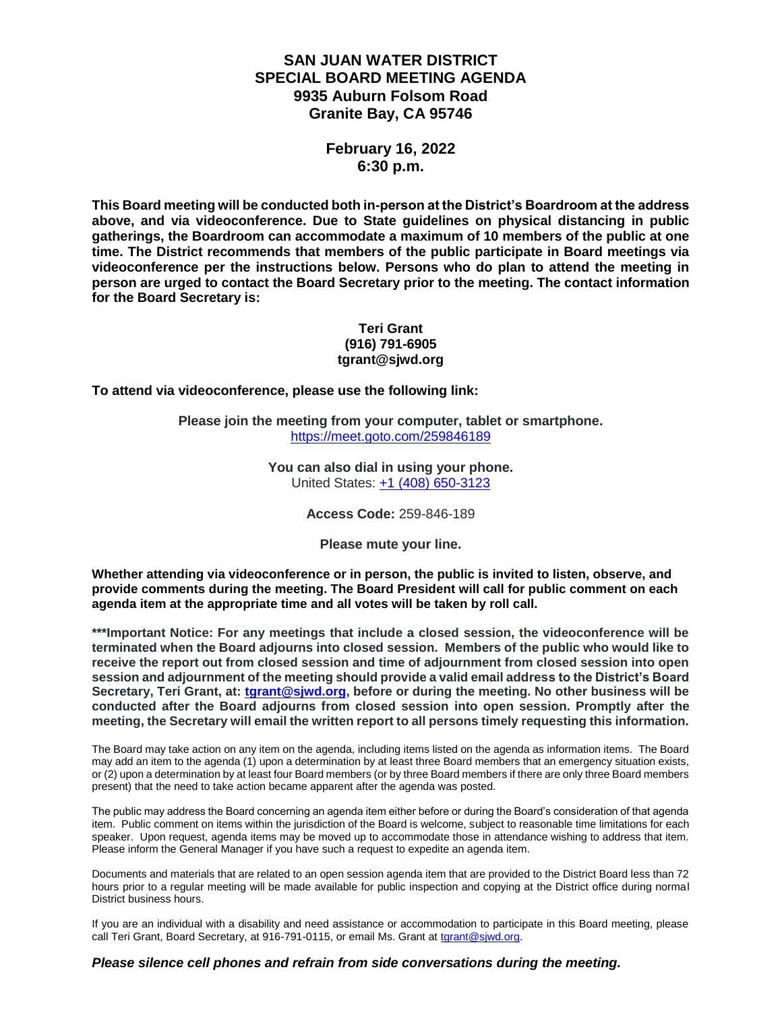# **SAN JUAN WATER DISTRICT SPECIAL BOARD MEETING AGENDA 9935 Auburn Folsom Road Granite Bay, CA 95746**

## **February 16, 2022 6:30 p.m.**

**This Board meeting will be conducted both in-person at the District's Boardroom at the address above, and via videoconference. Due to State guidelines on physical distancing in public gatherings, the Boardroom can accommodate a maximum of 10 members of the public at one time. The District recommends that members of the public participate in Board meetings via videoconference per the instructions below. Persons who do plan to attend the meeting in person are urged to contact the Board Secretary prior to the meeting. The contact information for the Board Secretary is:**

#### **Teri Grant (916) 791-6905 tgrant@sjwd.org**

**To attend via videoconference, please use the following link:**

**Please join the meeting from your computer, tablet or smartphone.** <https://meet.goto.com/259846189>

> **You can also dial in using your phone.** United States: [+1 \(408\) 650-3123](tel:+14086503123,,259846189)

> > **Access Code:** 259-846-189

**Please mute your line.**

**Whether attending via videoconference or in person, the public is invited to listen, observe, and provide comments during the meeting. The Board President will call for public comment on each agenda item at the appropriate time and all votes will be taken by roll call.** 

**\*\*\*Important Notice: For any meetings that include a closed session, the videoconference will be terminated when the Board adjourns into closed session. Members of the public who would like to receive the report out from closed session and time of adjournment from closed session into open session and adjournment of the meeting should provide a valid email address to the District's Board Secretary, Teri Grant, at: [tgrant@sjwd.org,](mailto:tgrant@sjwd.org) before or during the meeting. No other business will be conducted after the Board adjourns from closed session into open session. Promptly after the meeting, the Secretary will email the written report to all persons timely requesting this information.**

The Board may take action on any item on the agenda, including items listed on the agenda as information items. The Board may add an item to the agenda (1) upon a determination by at least three Board members that an emergency situation exists, or (2) upon a determination by at least four Board members (or by three Board members if there are only three Board members present) that the need to take action became apparent after the agenda was posted.

The public may address the Board concerning an agenda item either before or during the Board's consideration of that agenda item. Public comment on items within the jurisdiction of the Board is welcome, subject to reasonable time limitations for each speaker. Upon request, agenda items may be moved up to accommodate those in attendance wishing to address that item. Please inform the General Manager if you have such a request to expedite an agenda item.

Documents and materials that are related to an open session agenda item that are provided to the District Board less than 72 hours prior to a regular meeting will be made available for public inspection and copying at the District office during normal District business hours.

If you are an individual with a disability and need assistance or accommodation to participate in this Board meeting, please call Teri Grant, Board Secretary, at 916-791-0115, or email Ms. Grant at [tgrant@sjwd.org.](mailto:tgrant@sjwd.org)

### *Please silence cell phones and refrain from side conversations during the meeting.*